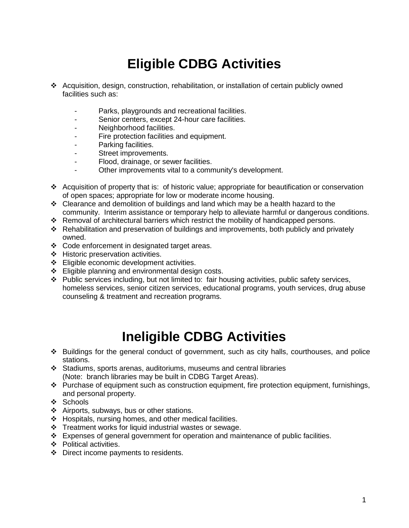# **Eligible CDBG Activities**

- Acquisition, design, construction, rehabilitation, or installation of certain publicly owned facilities such as:
	- Parks, playgrounds and recreational facilities.
	- Senior centers, except 24-hour care facilities.
	- Neighborhood facilities.
	- Fire protection facilities and equipment.
	- Parking facilities.
	- Street improvements.
	- Flood, drainage, or sewer facilities.
	- Other improvements vital to a community's development.
- Acquisition of property that is: of historic value; appropriate for beautification or conservation of open spaces; appropriate for low or moderate income housing.
- $\div$  Clearance and demolition of buildings and land which may be a health hazard to the community. Interim assistance or temporary help to alleviate harmful or dangerous conditions.
- Removal of architectural barriers which restrict the mobility of handicapped persons.
- Rehabilitation and preservation of buildings and improvements, both publicly and privately owned.
- Code enforcement in designated target areas.
- ❖ Historic preservation activities.
- ❖ Eligible economic development activities.
- Eligible planning and environmental design costs.
- Public services including, but not limited to: fair housing activities, public safety services, homeless services, senior citizen services, educational programs, youth services, drug abuse counseling & treatment and recreation programs.

#### **Ineligible CDBG Activities**

- Buildings for the general conduct of government, such as city halls, courthouses, and police stations.
- Stadiums, sports arenas, auditoriums, museums and central libraries (Note: branch libraries may be built in CDBG Target Areas).
- $\div$  Purchase of equipment such as construction equipment, fire protection equipment, furnishings, and personal property.
- $\div$  Schools
- \* Airports, subways, bus or other stations.
- $\div$  Hospitals, nursing homes, and other medical facilities.
- $\div$  Treatment works for liquid industrial wastes or sewage.
- $\div$  Expenses of general government for operation and maintenance of public facilities.
- ❖ Political activities.
- ❖ Direct income payments to residents.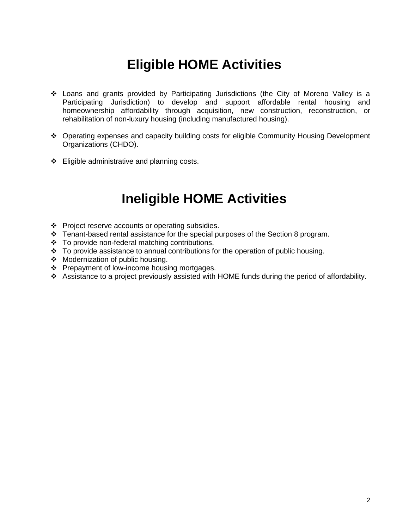### **Eligible HOME Activities**

- Loans and grants provided by Participating Jurisdictions (the City of Moreno Valley is a Participating Jurisdiction) to develop and support affordable rental housing and homeownership affordability through acquisition, new construction, reconstruction, or rehabilitation of non-luxury housing (including manufactured housing).
- Operating expenses and capacity building costs for eligible Community Housing Development Organizations (CHDO).
- $\div$  Eligible administrative and planning costs.

#### **Ineligible HOME Activities**

- ❖ Project reserve accounts or operating subsidies.
- \* Tenant-based rental assistance for the special purposes of the Section 8 program.
- To provide non-federal matching contributions.
- $\cdot$  To provide assistance to annual contributions for the operation of public housing.
- ◆ Modernization of public housing.
- ❖ Prepayment of low-income housing mortgages.
- Assistance to a project previously assisted with HOME funds during the period of affordability.